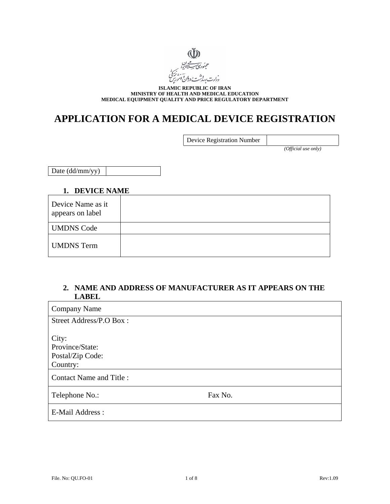

**ISLAMIC REPUBLIC OF IRAN MINISTRY OF HEALTH AND MEDICAL EDUCATION MEDICAL EQUIPMENT QUALITY AND PRICE REGULATORY DEPARTMENT** 

# **APPLICATION FOR A MEDICAL DEVICE REGISTRATION**

| Device Registration Number |  |
|----------------------------|--|
|                            |  |

*(Official use only)* 

Date (dd/mm/yy)

#### **1. DEVICE NAME**

| Device Name as it<br>appears on label |  |
|---------------------------------------|--|
| <b>UMDNS Code</b>                     |  |
| <b>UMDNS</b> Term                     |  |

### **2. NAME AND ADDRESS OF MANUFACTURER AS IT APPEARS ON THE LABEL**

| <b>Company Name</b>                                      |         |
|----------------------------------------------------------|---------|
| Street Address/P.O Box:                                  |         |
| City:<br>Province/State:<br>Postal/Zip Code:<br>Country: |         |
| <b>Contact Name and Title:</b>                           |         |
| Telephone No.:                                           | Fax No. |
| E-Mail Address :                                         |         |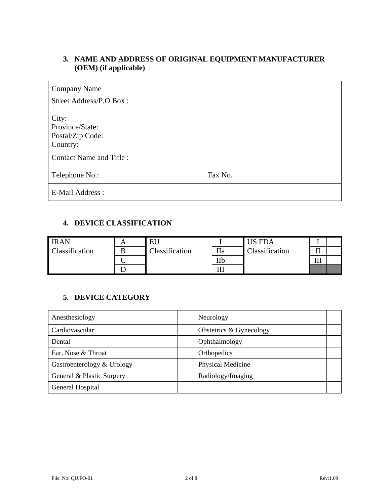# **3. NAME AND ADDRESS OF ORIGINAL EQUIPMENT MANUFACTURER (OEM) (if applicable)**

| <b>Company Name</b>                                      |         |
|----------------------------------------------------------|---------|
| Street Address/P.O Box:                                  |         |
| City:<br>Province/State:<br>Postal/Zip Code:<br>Country: |         |
| <b>Contact Name and Title:</b>                           |         |
| Telephone No.:                                           | Fax No. |
| E-Mail Address:                                          |         |

# **4. DEVICE CLASSIFICATION**

| <b>IRAN</b>    | n. | Εl             |            | US FDA         |          |  |
|----------------|----|----------------|------------|----------------|----------|--|
| Classification | D  | Classification | Пa         | Classification | щ,       |  |
|                | ⌒  |                | IIb        |                | ттт<br>ш |  |
|                |    |                | TTT<br>111 |                |          |  |

# **5. DEVICE CATEGORY**

| Anesthesiology             | Neurology               |  |
|----------------------------|-------------------------|--|
| Cardiovascular             | Obstetrics & Gynecology |  |
| Dental                     | Ophthalmology           |  |
| Ear, Nose & Throat         | Orthopedics             |  |
| Gastroenterology & Urology | Physical Medicine       |  |
| General & Plastic Surgery  | Radiology/Imaging       |  |
| General Hospital           |                         |  |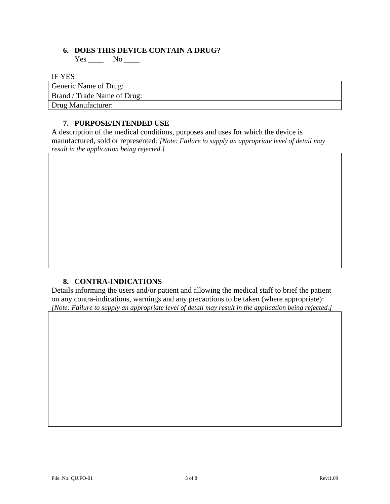### **6. DOES THIS DEVICE CONTAIN A DRUG?**

 $Yes \_\_\_$  No  $\_\_\_\$ 

IF YES

Generic Name of Drug:

Brand / Trade Name of Drug:

Drug Manufacturer:

# **7. PURPOSE/INTENDED USE**

A description of the medical conditions, purposes and uses for which the device is manufactured, sold or represented*: [Note: Failure to supply an appropriate level of detail may result in the application being rejected.]* 

### **8. CONTRA-INDICATIONS**

Details informing the users and/or patient and allowing the medical staff to brief the patient on any contra-indications, warnings and any precautions to be taken (where appropriate): *[Note: Failure to supply an appropriate level of detail may result in the application being rejected.]*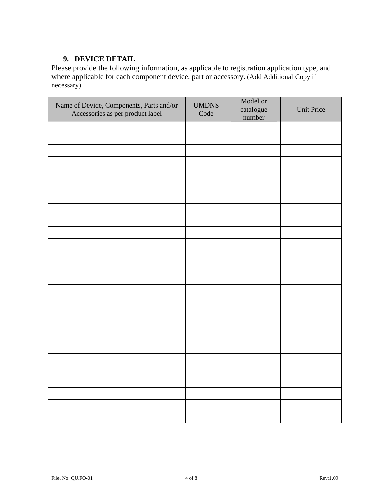# **9. DEVICE DETAIL**

Please provide the following information, as applicable to registration application type, and where applicable for each component device, part or accessory. (Add Additional Copy if necessary)

| Name of Device, Components, Parts and/or<br>Accessories as per product label | <b>UMDNS</b><br>Code | Model or<br>catalogue<br>number | <b>Unit Price</b> |
|------------------------------------------------------------------------------|----------------------|---------------------------------|-------------------|
|                                                                              |                      |                                 |                   |
|                                                                              |                      |                                 |                   |
|                                                                              |                      |                                 |                   |
|                                                                              |                      |                                 |                   |
|                                                                              |                      |                                 |                   |
|                                                                              |                      |                                 |                   |
|                                                                              |                      |                                 |                   |
|                                                                              |                      |                                 |                   |
|                                                                              |                      |                                 |                   |
|                                                                              |                      |                                 |                   |
|                                                                              |                      |                                 |                   |
|                                                                              |                      |                                 |                   |
|                                                                              |                      |                                 |                   |
|                                                                              |                      |                                 |                   |
|                                                                              |                      |                                 |                   |
|                                                                              |                      |                                 |                   |
|                                                                              |                      |                                 |                   |
|                                                                              |                      |                                 |                   |
|                                                                              |                      |                                 |                   |
|                                                                              |                      |                                 |                   |
|                                                                              |                      |                                 |                   |
|                                                                              |                      |                                 |                   |
|                                                                              |                      |                                 |                   |
|                                                                              |                      |                                 |                   |
|                                                                              |                      |                                 |                   |
|                                                                              |                      |                                 |                   |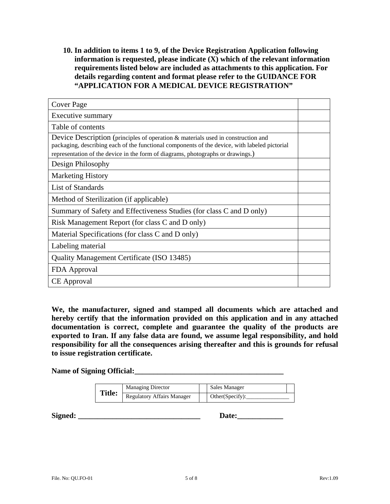**10. In addition to items 1 to 9, of the Device Registration Application following information is requested, please indicate (X) which of the relevant information requirements listed below are included as attachments to this application. For details regarding content and format please refer to the GUIDANCE FOR "APPLICATION FOR A MEDICAL DEVICE REGISTRATION"** 

| <b>Cover Page</b>                                                                                                                                                                                                                                                    |  |
|----------------------------------------------------------------------------------------------------------------------------------------------------------------------------------------------------------------------------------------------------------------------|--|
| Executive summary                                                                                                                                                                                                                                                    |  |
| Table of contents                                                                                                                                                                                                                                                    |  |
| Device Description (principles of operation & materials used in construction and<br>packaging, describing each of the functional components of the device, with labeled pictorial<br>representation of the device in the form of diagrams, photographs or drawings.) |  |
| Design Philosophy                                                                                                                                                                                                                                                    |  |
| <b>Marketing History</b>                                                                                                                                                                                                                                             |  |
| List of Standards                                                                                                                                                                                                                                                    |  |
| Method of Sterilization (if applicable)                                                                                                                                                                                                                              |  |
| Summary of Safety and Effectiveness Studies (for class C and D only)                                                                                                                                                                                                 |  |
| Risk Management Report (for class C and D only)                                                                                                                                                                                                                      |  |
| Material Specifications (for class C and D only)                                                                                                                                                                                                                     |  |
| Labeling material                                                                                                                                                                                                                                                    |  |
| <b>Quality Management Certificate (ISO 13485)</b>                                                                                                                                                                                                                    |  |
| FDA Approval                                                                                                                                                                                                                                                         |  |
| <b>CE</b> Approval                                                                                                                                                                                                                                                   |  |

**We, the manufacturer, signed and stamped all documents which are attached and hereby certify that the information provided on this application and in any attached documentation is correct, complete and guarantee the quality of the products are exported to Iran. If any false data are found, we assume legal responsibility, and hold responsibility for all the consequences arising thereafter and this is grounds for refusal to issue registration certificate.** 

**Name of Signing Official:\_\_\_\_\_\_\_\_\_\_\_\_\_\_\_\_\_\_\_\_\_\_\_\_\_\_\_\_\_\_\_\_\_\_\_\_\_\_\_** 

| <b>Title:</b> | <b>Managing Director</b>          | Sales Manager   |  |
|---------------|-----------------------------------|-----------------|--|
|               | <b>Regulatory Affairs Manager</b> | Other(Specify): |  |

**Signed: \_\_\_\_\_\_\_\_\_\_\_\_\_\_\_\_\_\_\_\_\_\_\_\_\_\_\_\_\_\_\_\_ Date:\_\_\_\_\_\_\_\_\_\_\_\_**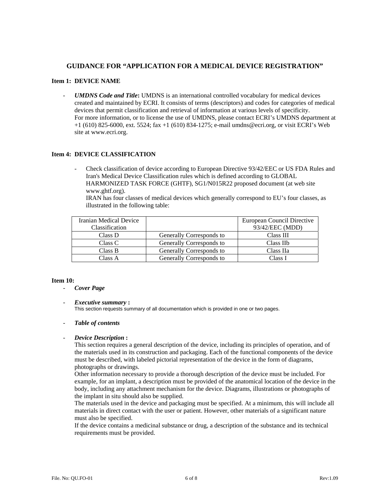#### **GUIDANCE FOR "APPLICATION FOR A MEDICAL DEVICE REGISTRATION"**

#### **Item 1: DEVICE NAME**

- *UMDNS Code and Title***:** UMDNS is an international controlled vocabulary for medical devices created and maintained by ECRI. It consists of terms (descriptors) and codes for categories of medical devices that permit classification and retrieval of information at various levels of specificity. For more information, or to license the use of UMDNS, please contact ECRI's UMDNS department at +1 (610) 825-6000, ext. 5524; fax +1 (610) 834-1275; e-mail umdns@ecri.org, or visit ECRI's Web site at www.ecri.org.

#### **Item 4: DEVICE CLASSIFICATION**

- Check classification of device according to European Directive 93/42/EEC or US FDA Rules and Iran's Medical Device Classification rules which is defined according to GLOBAL HARMONIZED TASK FORCE (GHTF), SG1/N015R22 proposed document (at web site www.ghtf.org).

IRAN has four classes of medical devices which generally correspond to EU's four classes, as illustrated in the following table:

| Iranian Medical Device |                          | European Council Directive |
|------------------------|--------------------------|----------------------------|
| Classification         |                          | 93/42/EEC (MDD)            |
| Class D                | Generally Corresponds to | Class III                  |
| Class C                | Generally Corresponds to | Class IIb                  |
| Class B                | Generally Corresponds to | Class IIa                  |
| Class A                | Generally Corresponds to | Class I                    |

#### **Item 10:**

- *Cover Page*
- *Executive summary* **:**

This section requests summary of all documentation which is provided in one or two pages.

- *Table of contents* 

#### - *Device Description* **:**

This section requires a general description of the device, including its principles of operation, and of the materials used in its construction and packaging. Each of the functional components of the device must be described, with labeled pictorial representation of the device in the form of diagrams, photographs or drawings.

Other information necessary to provide a thorough description of the device must be included. For example, for an implant, a description must be provided of the anatomical location of the device in the body, including any attachment mechanism for the device. Diagrams, illustrations or photographs of the implant in situ should also be supplied.

The materials used in the device and packaging must be specified. At a minimum, this will include all materials in direct contact with the user or patient. However, other materials of a significant nature must also be specified.

If the device contains a medicinal substance or drug, a description of the substance and its technical requirements must be provided.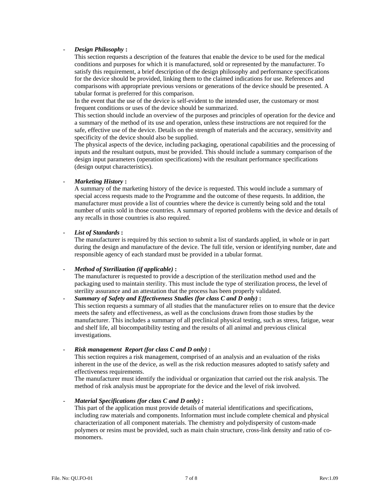#### - *Design Philosophy* **:**

This section requests a description of the features that enable the device to be used for the medical conditions and purposes for which it is manufactured, sold or represented by the manufacturer. To satisfy this requirement, a brief description of the design philosophy and performance specifications for the device should be provided, linking them to the claimed indications for use. References and comparisons with appropriate previous versions or generations of the device should be presented. A tabular format is preferred for this comparison.

In the event that the use of the device is self-evident to the intended user, the customary or most frequent conditions or uses of the device should be summarized.

This section should include an overview of the purposes and principles of operation for the device and a summary of the method of its use and operation, unless these instructions are not required for the safe, effective use of the device. Details on the strength of materials and the accuracy, sensitivity and specificity of the device should also be supplied.

The physical aspects of the device, including packaging, operational capabilities and the processing of inputs and the resultant outputs, must be provided. This should include a summary comparison of the design input parameters (operation specifications) with the resultant performance specifications (design output characteristics).

#### - *Marketing History* **:**

A summary of the marketing history of the device is requested. This would include a summary of special access requests made to the Programme and the outcome of these requests. In addition, the manufacturer must provide a list of countries where the device is currently being sold and the total number of units sold in those countries. A summary of reported problems with the device and details of any recalls in those countries is also required.

#### - *List of Standards* **:**

The manufacturer is required by this section to submit a list of standards applied, in whole or in part during the design and manufacture of the device. The full title, version or identifying number, date and responsible agency of each standard must be provided in a tabular format.

#### - *Method of Sterilization (if applicable)* **:**

The manufacturer is requested to provide a description of the sterilization method used and the packaging used to maintain sterility. This must include the type of sterilization process, the level of sterility assurance and an attestation that the process has been properly validated.

#### - *Summary of Safety and Effectiveness Studies (for class C and D only)* **:**

This section requests a summary of all studies that the manufacturer relies on to ensure that the device meets the safety and effectiveness, as well as the conclusions drawn from those studies by the manufacturer. This includes a summary of all preclinical physical testing, such as stress, fatigue, wear and shelf life, all biocompatibility testing and the results of all animal and previous clinical investigations.

#### - *Risk management Report (for class C and D only)* **:**

This section requires a risk management, comprised of an analysis and an evaluation of the risks inherent in the use of the device, as well as the risk reduction measures adopted to satisfy safety and effectiveness requirements.

The manufacturer must identify the individual or organization that carried out the risk analysis. The method of risk analysis must be appropriate for the device and the level of risk involved.

#### - *Material Specifications (for class C and D only)* **:**

This part of the application must provide details of material identifications and specifications, including raw materials and components. Information must include complete chemical and physical characterization of all component materials. The chemistry and polydispersity of custom-made polymers or resins must be provided, such as main chain structure, cross-link density and ratio of comonomers.